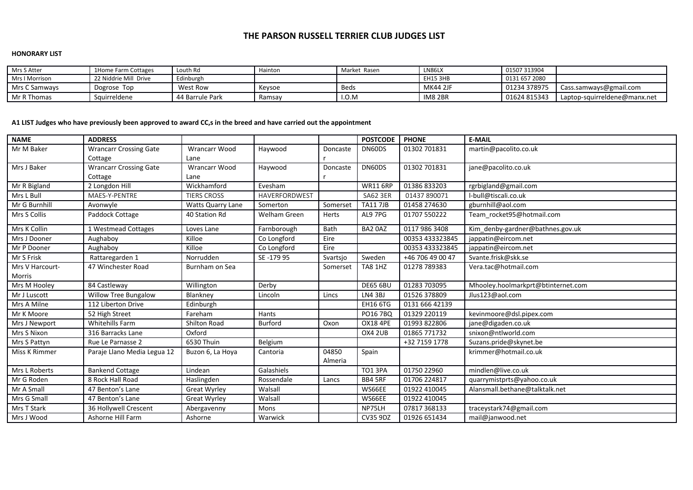# **THE PARSON RUSSELL TERRIER CLUB JUDGES LIST**

#### **HONORARY LIST**

| Mrs S Atter    | 1Home Farm Cottages   | Louth Rd        | Hainton | Market Rasen | LN86LX          | 01507 313904  |                              |
|----------------|-----------------------|-----------------|---------|--------------|-----------------|---------------|------------------------------|
| Mrs I Morrison | 22 Niddrie Mill Drive | :dinburgh       |         |              | <b>EH15 3HB</b> | 0131 657 2080 |                              |
| Mrs C Samways  | Dogrose Top           | West Row        | Kevsoe  | <b>Beds</b>  | <b>MK44 2JF</b> | 01234 378975  | Cass.samways@gmail.com       |
| Mr R Thomas    | Sauirreldene          | 44 Barrule Park | Ramsav  | I.O.M        | IM82BR          | 01624 815343  | Laptop-squirreldene@manx.net |

## **A1 LIST Judges who have previously been approved to award CC,s in the breed and have carried out the appointment**

| <b>NAME</b>     | <b>ADDRESS</b>                |                          |                      |          | <b>POSTCODE</b> | <b>PHONE</b>     | <b>E-MAIL</b>                      |
|-----------------|-------------------------------|--------------------------|----------------------|----------|-----------------|------------------|------------------------------------|
| Mr M Baker      | <b>Wrancarr Crossing Gate</b> | <b>Wrancarr Wood</b>     | Haywood              | Doncaste | DN60DS          | 01302 701831     | martin@pacolito.co.uk              |
|                 | Cottage                       | Lane                     |                      |          |                 |                  |                                    |
| Mrs J Baker     | <b>Wrancarr Crossing Gate</b> | <b>Wrancarr Wood</b>     | Haywood              | Doncaste | DN60DS          | 01302 701831     | jane@pacolito.co.uk                |
|                 | Cottage                       | Lane                     |                      |          |                 |                  |                                    |
| Mr R Bigland    | 2 Longdon Hill                | Wickhamford              | Evesham              |          | <b>WR11 6RP</b> | 01386 833203     | rgrbigland@gmail.com               |
| Mrs L Bull      | MAES-Y-PENTRE                 | <b>TIERS CROSS</b>       | <b>HAVERFORDWEST</b> |          | <b>SA62 3ER</b> | 01437 890071     | l-bull@tiscali.co.uk               |
| Mr G Burnhill   | Avonwyle                      | <b>Watts Quarry Lane</b> | Somerton             | Somerset | <b>TA11 7JB</b> | 01458 274630     | gburnhill@aol.com                  |
| Mrs S Collis    | Paddock Cottage               | 40 Station Rd            | Welham Green         | Herts    | AL9 7PG         | 01707 550222     | Team rocket95@hotmail.com          |
| Mrs K Collin    | 1 Westmead Cottages           | Loves Lane               | Farnborough          | Bath     | BA2 0AZ         | 0117 986 3408    | Kim denby-gardner@bathnes.gov.uk   |
| Mrs J Dooner    | Aughaboy                      | Killoe                   | Co Longford          | Eire     |                 | 00353 433323845  | jappatin@eircom.net                |
| Mr P Dooner     | Aughaboy                      | Killoe                   | Co Longford          | Eire     |                 | 00353 433323845  | jappatin@eircom.net                |
| Mr S Frisk      | Rattaregarden 1               | Norrudden                | SE-179 95            | Svartsjo | Sweden          | +46 706 49 00 47 | Svante.frisk@skk.se                |
| Mrs V Harcourt- | 47 Winchester Road            | Burnham on Sea           |                      | Somerset | <b>TA8 1HZ</b>  | 01278 789383     | Vera.tac@hotmail.com               |
| Morris          |                               |                          |                      |          |                 |                  |                                    |
| Mrs M Hooley    | 84 Castleway                  | Willington               | Derby                |          | <b>DE65 6BU</b> | 01283 703095     | Mhooley.hoolmarkprt@btinternet.com |
| Mr J Luscott    | <b>Willow Tree Bungalow</b>   | Blankney                 | Lincoln              | Lincs    | LN4 3BJ         | 01526 378809     | Jlus123@aol.com                    |
| Mrs A Milne     | 112 Liberton Drive            | Edinburgh                |                      |          | <b>EH16 6TG</b> | 0131 666 42139   |                                    |
| Mr K Moore      | 52 High Street                | Fareham                  | Hants                |          | <b>PO16 7BQ</b> | 01329 220119     | kevinmoore@dsl.pipex.com           |
| Mrs J Newport   | <b>Whitehills Farm</b>        | Shilton Road             | Burford              | Oxon     | <b>OX18 4PE</b> | 01993 822806     | jane@digaden.co.uk                 |
| Mrs S Nixon     | 316 Barracks Lane             | Oxford                   |                      |          | OX4 2UB         | 01865 771732     | snixon@ntlworld.com                |
| Mrs S Pattyn    | Rue Le Parnasse 2             | 6530 Thuin               | Belgium              |          |                 | +32 7159 1778    | Suzans.pride@skynet.be             |
| Miss K Rimmer   | Paraje Llano Media Legua 12   | Buzon 6, La Hoya         | Cantoria             | 04850    | Spain           |                  | krimmer@hotmail.co.uk              |
|                 |                               |                          |                      | Almeria  |                 |                  |                                    |
| Mrs L Roberts   | <b>Bankend Cottage</b>        | Lindean                  | Galashiels           |          | <b>TO1 3PA</b>  | 01750 22960      | mindlen@live.co.uk                 |
| Mr G Roden      | 8 Rock Hall Road              | Haslingden               | Rossendale           | Lancs    | BB4 5RF         | 01706 224817     | quarrymistprts@yahoo.co.uk         |
| Mr A Small      | 47 Benton's Lane              | Great Wyrley             | Walsall              |          | WS66EE          | 01922 410045     | Alansmall.bethane@talktalk.net     |
| Mrs G Small     | 47 Benton's Lane              | <b>Great Wyrley</b>      | Walsall              |          | WS66EE          | 01922 410045     |                                    |
| Mrs T Stark     | 36 Hollywell Crescent         | Abergavenny              | Mons                 |          | NP75LH          | 07817368133      | traceystark74@gmail.com            |
| Mrs J Wood      | Ashorne Hill Farm             | Ashorne                  | Warwick              |          | <b>CV35 9DZ</b> | 01926 651434     | mail@janwood.net                   |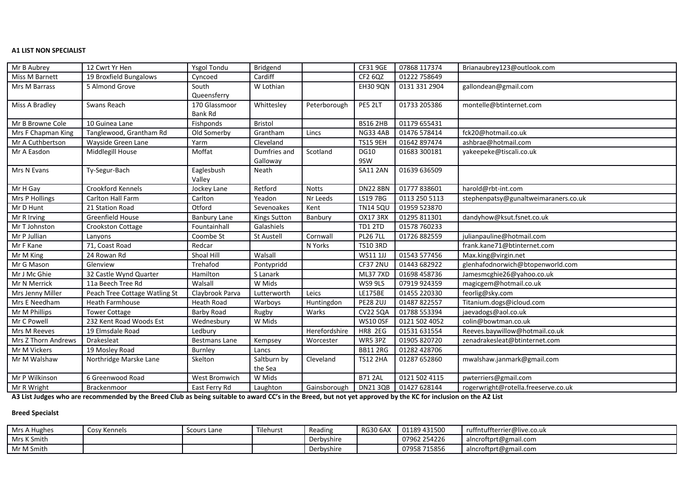#### **A1 LIST NON SPECIALIST**

| Mr B Aubrey         | 12 Cwrt Yr Hen                | <b>Ysgol Tondu</b>   | Bridgend            |               | CF319GE         | 07868 117374  | Brianaubrey123@outlook.com           |
|---------------------|-------------------------------|----------------------|---------------------|---------------|-----------------|---------------|--------------------------------------|
| Miss M Barnett      | 19 Broxfield Bungalows        | Cyncoed              | Cardiff             |               | CF2 6QZ         | 01222 758649  |                                      |
| Mrs M Barrass       | 5 Almond Grove                | South                | W Lothian           |               | <b>EH30 9QN</b> | 0131 331 2904 | gallondean@gmail.com                 |
|                     |                               | Queensferry          |                     |               |                 |               |                                      |
| Miss A Bradley      | Swans Reach                   | 170 Glassmoor        | Whittesley          | Peterborough  | PE5 2LT         | 01733 205386  | montelle@btinternet.com              |
|                     |                               | Bank Rd              |                     |               |                 |               |                                      |
| Mr B Browne Cole    | 10 Guinea Lane                | Fishponds            | Bristol             |               | <b>BS16 2HB</b> | 01179 655431  |                                      |
| Mrs F Chapman King  | Tanglewood, Grantham Rd       | Old Somerby          | Grantham            | Lincs         | <b>NG33 4AB</b> | 01476 578414  | fck20@hotmail.co.uk                  |
| Mr A Cuthbertson    | Wayside Green Lane            | Yarm                 | Cleveland           |               | <b>TS15 9EH</b> | 01642 897474  | ashbrae@hotmail.com                  |
| Mr A Easdon         | Middlegill House              | Moffat               | Dumfries and        | Scotland      | <b>DG10</b>     | 01683 300181  | yakeepeke@tiscali.co.uk              |
|                     |                               |                      | Galloway            |               | 9SW             |               |                                      |
| Mrs N Evans         | Ty-Segur-Bach                 | Eaglesbush           | Neath               |               | <b>SA11 2AN</b> | 01639 636509  |                                      |
|                     |                               | Valley               |                     |               |                 |               |                                      |
| Mr H Gay            | Crookford Kennels             | Jockey Lane          | Retford             | <b>Notts</b>  | <b>DN22 8BN</b> | 01777 838601  | harold@rbt-int.com                   |
| Mrs P Hollings      | Carlton Hall Farm             | Carlton              | Yeadon              | Nr Leeds      | LS19 7BG        | 0113 250 5113 | stephenpatsy@gunaltweimaraners.co.uk |
| Mr D Hunt           | 21 Station Road               | Otford               | Sevenoakes          | Kent          | <b>TN14 5QU</b> | 01959 523870  |                                      |
| Mr R Irving         | Greenfield House              | <b>Banbury Lane</b>  | <b>Kings Sutton</b> | Banbury       | <b>OX17 3RX</b> | 01295 811301  | dandyhow@ksut.fsnet.co.uk            |
| Mr T Johnston       | Crookston Cottage             | Fountainhall         | Galashiels          |               | TD1 2TD         | 01578 760233  |                                      |
| Mr P Jullian        | Lanyons                       | Coombe St            | <b>St Austell</b>   | Cornwall      | <b>PL26 7LL</b> | 01726 882559  | julianpauline@hotmail.com            |
| Mr F Kane           | 71, Coast Road                | Redcar               |                     | N Yorks       | <b>TS10 3RD</b> |               | frank.kane71@btinternet.com          |
| Mr M King           | 24 Rowan Rd                   | Shoal Hill           | Walsall             |               | WS11 1JJ        | 01543 577456  | Max.king@virgin.net                  |
| Mr G Mason          | Glenview                      | Trehafod             | Pontypridd          |               | CF37 2NU        | 01443 682922  | glenhafodnorwich@btopenworld.com     |
| Mr J Mc Ghie        | 32 Castle Wynd Quarter        | Hamilton             | S Lanark            |               | <b>ML37 7XD</b> | 01698 458736  | Jamesmcghie26@yahoo.co.uk            |
| Mr N Merrick        | 11a Beech Tree Rd             | Walsall              | W Mids              |               | WS9 9LS         | 07919 924359  | magicgem@hotmail.co.uk               |
| Mrs Jenny Miller    | Peach Tree Cottage Watling St | Claybrook Parva      | Lutterworth         | Leics         | <b>LE175BE</b>  | 01455 220330  | feorlig@sky.com                      |
| Mrs E Needham       | Heath Farmhouse               | <b>Heath Road</b>    | Warboys             | Huntingdon    | <b>PE28 2UJ</b> | 01487 822557  | Titanium.dogs@icloud.com             |
| Mr M Phillips       | <b>Tower Cottage</b>          | Barby Road           | Rugby               | Warks         | <b>CV22 5QA</b> | 01788 553394  | jaevadogs@aol.co.uk                  |
| Mr C Powell         | 232 Kent Road Woods Est       | Wednesbury           | W Mids              |               | <b>WS10 OSF</b> | 0121 502 4052 | colin@bowtman.co.uk                  |
| Mrs M Reeves        | 19 Elmsdale Road              | Ledbury              |                     | Herefordshire | <b>HR8 2EG</b>  | 01531 631554  | Reeves.baywillow@hotmail.co.uk       |
| Mrs Z Thorn Andrews | Drakesleat                    | <b>Bestmans Lane</b> | Kempsey             | Worcester     | WR5 3PZ         | 01905 820720  | zenadrakesleat@btinternet.com        |
| Mr M Vickers        | 19 Mosley Road                | Burnley              | Lancs               |               | <b>BB11 2RG</b> | 01282 428706  |                                      |
| Mr M Walshaw        | Northridge Marske Lane        | Skelton              | Saltburn by         | Cleveland     | <b>TS12 2HA</b> | 01287 652860  | mwalshaw.janmark@gmail.com           |
|                     |                               |                      | the Sea             |               |                 |               |                                      |
| Mr P Wilkinson      | 6 Greenwood Road              | West Bromwich        | W Mids              |               | <b>B71 2AL</b>  | 0121 502 4115 | pwterriers@gmail.com                 |
| Mr R Wright         | Brackenmoor                   | East Ferry Rd        | Laughton            | Gainsborough  | DN21 3QB        | 01427 628144  | rogerwright@rotella.freeserve.co.uk  |

**A3 List Judges who are recommended by the Breed Club as being suitable to award CC's in the Breed, but not yet approved by the KC for inclusion on the A2 List** 

### **Breed Specialst**

| Mrs A Hughes | Cosy Kennels | Scours Lane | Tilehurst | Reading    | <b>RG30 6AX</b> | 01189 431500 | ruffntuffterrier@live.co.uk |
|--------------|--------------|-------------|-----------|------------|-----------------|--------------|-----------------------------|
| Mrs K Smith  |              |             |           | Derbyshire |                 | 07962 254226 | alncroftprt@gmail.com       |
| Mr M Smith   |              |             |           | Derbyshire |                 | 07958 715856 | alncroftprt@gmail.com       |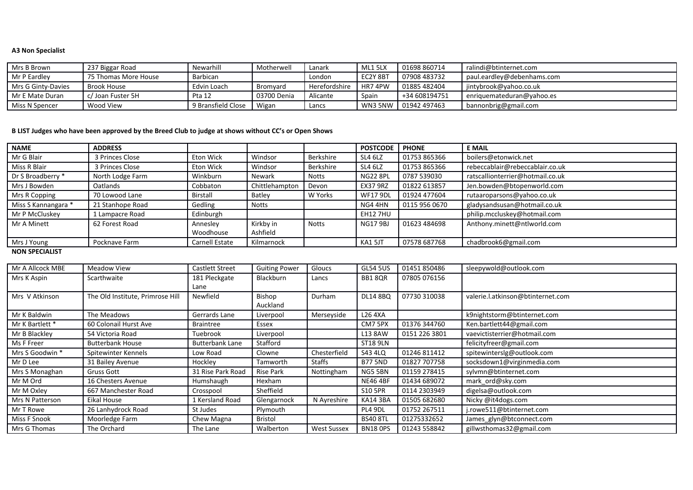### **A3 Non Specialist**

| l Mrs B Brown      | 237 Biggar Road      | Newarhill          | Motherwell  | Lanark        | ML1 5LX   | 01698 860714             | ralindi@btinternet.com     |
|--------------------|----------------------|--------------------|-------------|---------------|-----------|--------------------------|----------------------------|
| Mr P Eardley       | 75 Thomas More House | Barbican           |             | London        | EC2Y 8BT  | 07908 483732             | paul.eardley@debenhams.com |
| Mrs G Ginty-Davies | Brook House          | Edvin Loach        | Bromvard    | Herefordshire | l HR7 4PW | 01885482404              | jintybrook@yahoo.co.uk     |
| l Mr E Mate Duran  | ∴/ Joan Fuster 5H    | Pta 12             | 03700 Denia | Alicante      | Spain     | +34 608194751            | enriquemateduran@yahoo.es  |
| Miss N Spencer     | Wood View            | 9 Bransfield Close | Wigan       | Lancs         |           | U WN3 5NW   01942 497463 | bannonbrig@gmail.com       |

## **B LIST Judges who have been approved by the Breed Club to judge at shows without CC's or Open Shows**

| <b>NAME</b>           | <b>ADDRESS</b>   |                       |                |              | <b>POSTCODE</b> | <b>PHONE</b>  | <b>E MAIL</b>                    |
|-----------------------|------------------|-----------------------|----------------|--------------|-----------------|---------------|----------------------------------|
| Mr G Blair            | 3 Princes Close  | Eton Wick             | Windsor        | Berkshire    | SL4 6LZ         | 01753 865366  | boilers@etonwick.net             |
| Miss R Blair          | 3 Princes Close  | Eton Wick             | Windsor        | Berkshire    | SL4 6LZ         | 01753 865366  | rebeccablair@rebeccablair.co.uk  |
| Dr S Broadberry *     | North Lodge Farm | Winkburn              | Newark         | Notts        | <b>NG22 8PL</b> | 0787 539030   | ratscallionterrier@hotmail.co.uk |
| Mrs J Bowden          | Oatlands         | Cobbaton              | Chittlehampton | Devon        | <b>EX37 9RZ</b> | 01822 613857  | Jen.bowden@btopenworld.com       |
| Mrs R Copping         | 70 Lowood Lane   | Birstall              | <b>Batley</b>  | W Yorks      | <b>WF17 9DL</b> | 01924 477604  | rutaaroparsons@yahoo.co.uk       |
| Miss S Kannangara *   | 21 Stanhope Road | Gedling               | <b>Notts</b>   |              | NG4 4HN         | 0115 956 0670 | gladysandsusan@hotmail.co.uk     |
| Mr P McCluskey        | 1 Lampacre Road  | Edinburgh             |                |              | <b>EH12 7HU</b> |               | philip.mccluskey@hotmail.com     |
| Mr A Minett           | 62 Forest Road   | Annesley              | Kirkby in      | <b>Notts</b> | <b>NG17 9BJ</b> | 01623 484698  | Anthony.minett@ntlworld.com      |
|                       |                  | Woodhouse             | Ashfield       |              |                 |               |                                  |
| Mrs J Young           | Pocknave Farm    | <b>Carnell Estate</b> | Kilmarnock     |              | KA1 5JT         | 07578 687768  | chadbrook6@gmail.com             |
| <b>NON SPECIALIST</b> |                  |                       |                |              |                 |               |                                  |

| Mr A Allcock MBE | <b>Meadow View</b>               | Castlett Street        | <b>Guiting Power</b> | Gloucs             | <b>GL54 5US</b> | 01451 850486  | sleepywold@outlook.com            |
|------------------|----------------------------------|------------------------|----------------------|--------------------|-----------------|---------------|-----------------------------------|
| Mrs K Aspin      | Scarthwaite                      | 181 Pleckgate<br>Lane  | Blackburn            | Lancs              | BB18QR          | 07805 076156  |                                   |
| Mrs V Atkinson   | The Old Institute, Primrose Hill | Newfield               | Bishop<br>Auckland   | Durham             | <b>DL14 8BQ</b> | 07730 310038  | valerie.l.atkinson@btinternet.com |
| Mr K Baldwin     | The Meadows                      | Gerrards Lane          | Liverpool            | Merseyside         | L26 4XA         |               | k9nightstorm@btinternet.com       |
| Mr K Bartlett *  | 60 Colonail Hurst Ave            | <b>Braintree</b>       | Essex                |                    | CM7 5PX         | 01376 344760  | Ken.bartlett44@gmail.com          |
| Mr B Blackley    | 54 Victoria Road                 | Tuebrook               | Liverpool            |                    | L13 8AW         | 0151 226 3801 | vaevictisterrier@hotmail.com      |
| Ms F Freer       | <b>Butterbank House</b>          | <b>Butterbank Lane</b> | Stafford             |                    | ST18 9LN        |               | felicityfreer@gmail.com           |
| Mrs S Goodwin *  | Spitewinter Kennels              | Low Road               | Clowne               | Chesterfield       | S43 4LQ         | 01246 811412  | spitewinterslg@outlook.com        |
| Mr D Lee         | 31 Bailey Avenue                 | Hockley                | Tamworth             | <b>Staffs</b>      | <b>B77 5ND</b>  | 01827 707758  | socksdown1@virginmedia.com        |
| Mrs S Monaghan   | Gruss Gott                       | 31 Rise Park Road      | <b>Rise Park</b>     | Nottingham         | NG5 5BN         | 01159 278415  | sylvmn@btinternet.com             |
| Mr M Ord         | 16 Chesters Avenue               | Humshaugh              | Hexham               |                    | <b>NE46 4BF</b> | 01434 689072  | mark ord@sky.com                  |
| Mr M Oxley       | 667 Manchester Road              | Crosspool              | Sheffield            |                    | S10 5PR         | 0114 2303949  | digelsa@outlook.com               |
| Mrs N Patterson  | Eikal House                      | 1 Kersland Road        | Glengarnock          | N Ayreshire        | <b>KA14 3BA</b> | 01505 682680  | Nicky @it4dogs.com                |
| Mr T Rowe        | 26 Lanhydrock Road               | St Judes               | Plymouth             |                    | PL4 9DL         | 01752 267511  | j.rowe511@btinternet.com          |
| Miss F Snook     | Moorledge Farm                   | Chew Magna             | Bristol              |                    | <b>BS40 8TL</b> | 01275332652   | James_glyn@btconnect.com          |
| Mrs G Thomas     | The Orchard                      | The Lane               | Walberton            | <b>West Sussex</b> | <b>BN18 OPS</b> | 01243 558842  | gillwsthomas32@gmail.com          |